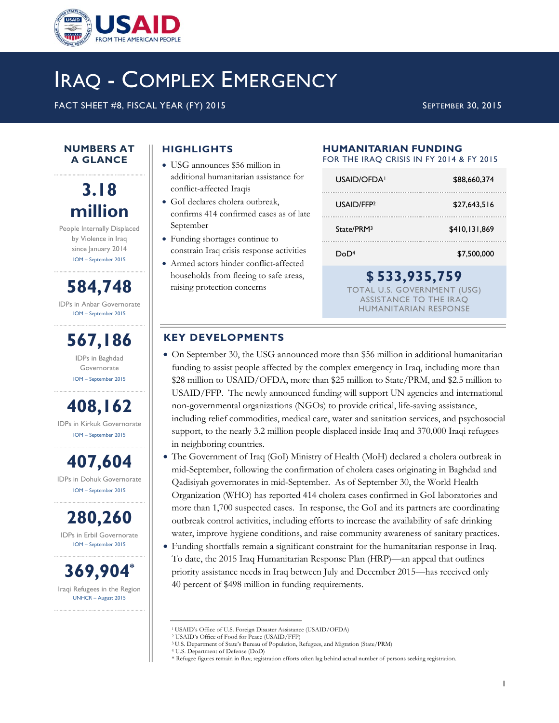

# IRAQ - COMPLEX EMERGENCY

FACT SHEET #8, FISCAL YEAR (FY) 2015 SEPTEMBER 30, 2015

#### **NUMBERS AT A GLANCE**

## **3.18 million**

People Internally Displaced by Violence in Iraq since January 2014 IOM – September 2015

**584,748** IDPs in Anbar Governorate IOM – September 2015

**567,186** IDPs in Baghdad

Governorate IOM – September 2015

**408,162** IDPs in Kirkuk Governorate IOM – September 2015

**407,604** IDPs in Dohuk Governorate IOM – September 2015

**280,260** IDPs in Erbil Governorate IOM – September 2015

**369,904\*** Iraqi Refugees in the Region UNHCR – August 2015

## **HIGHLIGHTS**

- USG announces \$56 million in additional humanitarian assistance for conflict-affected Iraqis
- GoI declares cholera outbreak, confirms 414 confirmed cases as of late September
- Funding shortages continue to constrain Iraq crisis response activities
- Armed actors hinder conflict-affected households from fleeing to safe areas, raising protection concerns

## **HUMANITARIAN FUNDING**

FOR THE IRAQ CRISIS IN FY 2014 & FY 2015

| USAID/OFDA!                                  | \$88,660,374  |  |
|----------------------------------------------|---------------|--|
| USAID/FFP <sub>2</sub>                       | \$27,643,516  |  |
| State/PRM <sup>3</sup>                       | \$410,131,869 |  |
| DoD <sup>4</sup>                             | \$7,500,000   |  |
| \$533,935,759<br>TOTAL U.S. GOVERNMENT (USG) |               |  |

ASSISTANCE TO THE IRAQ HUMANITARIAN RESPONSE

## **KEY DEVELOPMENTS**

- On September 30, the USG announced more than \$56 million in additional humanitarian funding to assist people affected by the complex emergency in Iraq, including more than \$28 million to USAID/OFDA, more than \$25 million to State/PRM, and \$2.5 million to USAID/FFP. The newly announced funding will support UN agencies and international non-governmental organizations (NGOs) to provide critical, life-saving assistance, including relief commodities, medical care, water and sanitation services, and psychosocial support, to the nearly 3.2 million people displaced inside Iraq and 370,000 Iraqi refugees in neighboring countries.
- The Government of Iraq (GoI) Ministry of Health (MoH) declared a cholera outbreak in mid-September, following the confirmation of cholera cases originating in Baghdad and Qadisiyah governorates in mid-September. As of September 30, the World Health Organization (WHO) has reported 414 cholera cases confirmed in GoI laboratories and more than 1,700 suspected cases. In response, the GoI and its partners are coordinating outbreak control activities, including efforts to increase the availability of safe drinking water, improve hygiene conditions, and raise community awareness of sanitary practices.
- Funding shortfalls remain a significant constraint for the humanitarian response in Iraq. To date, the 2015 Iraq Humanitarian Response Plan (HRP)—an appeal that outlines priority assistance needs in Iraq between July and December 2015—has received only 40 percent of \$498 million in funding requirements.

 $\overline{\phantom{a}}$ 

<sup>1</sup>USAID's Office of U.S. Foreign Disaster Assistance (USAID/OFDA)

<sup>2</sup> USAID's Office of Food for Peace (USAID/FFP)

<sup>3</sup> U.S. Department of State's Bureau of Population, Refugees, and Migration (State/PRM) –

<sup>4</sup> U.S. Department of Defense (DoD)

<sup>\*</sup> Refugee figures remain in flux; registration efforts often lag behind actual number of persons seeking registration.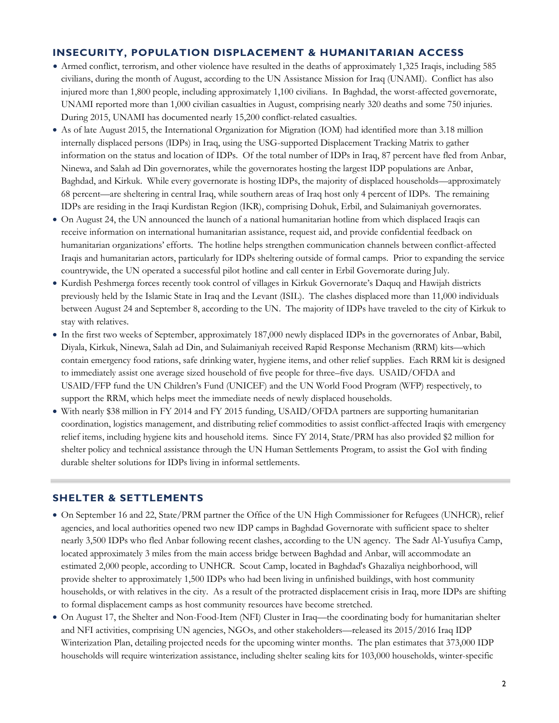## **INSECURITY, POPULATION DISPLACEMENT & HUMANITARIAN ACCESS**

- Armed conflict, terrorism, and other violence have resulted in the deaths of approximately 1,325 Iraqis, including 585 civilians, during the month of August, according to the UN Assistance Mission for Iraq (UNAMI). Conflict has also injured more than 1,800 people, including approximately 1,100 civilians. In Baghdad, the worst-affected governorate, UNAMI reported more than 1,000 civilian casualties in August, comprising nearly 320 deaths and some 750 injuries. During 2015, UNAMI has documented nearly 15,200 conflict-related casualties.
- As of late August 2015, the International Organization for Migration (IOM) had identified more than 3.18 million internally displaced persons (IDPs) in Iraq, using the USG-supported Displacement Tracking Matrix to gather information on the status and location of IDPs. Of the total number of IDPs in Iraq, 87 percent have fled from Anbar, Ninewa, and Salah ad Din governorates, while the governorates hosting the largest IDP populations are Anbar, Baghdad, and Kirkuk. While every governorate is hosting IDPs, the majority of displaced households—approximately 68 percent—are sheltering in central Iraq, while southern areas of Iraq host only 4 percent of IDPs. The remaining IDPs are residing in the Iraqi Kurdistan Region (IKR), comprising Dohuk, Erbil, and Sulaimaniyah governorates.
- On August 24, the UN announced the launch of a national humanitarian hotline from which displaced Iraqis can receive information on international humanitarian assistance, request aid, and provide confidential feedback on humanitarian organizations' efforts. The hotline helps strengthen communication channels between conflict-affected Iraqis and humanitarian actors, particularly for IDPs sheltering outside of formal camps. Prior to expanding the service countrywide, the UN operated a successful pilot hotline and call center in Erbil Governorate during July.
- Kurdish Peshmerga forces recently took control of villages in Kirkuk Governorate's Daquq and Hawijah districts previously held by the Islamic State in Iraq and the Levant (ISIL). The clashes displaced more than 11,000 individuals between August 24 and September 8, according to the UN. The majority of IDPs have traveled to the city of Kirkuk to stay with relatives.
- In the first two weeks of September, approximately 187,000 newly displaced IDPs in the governorates of Anbar, Babil, Diyala, Kirkuk, Ninewa, Salah ad Din, and Sulaimaniyah received Rapid Response Mechanism (RRM) kits—which contain emergency food rations, safe drinking water, hygiene items, and other relief supplies. Each RRM kit is designed to immediately assist one average sized household of five people for three–five days. USAID/OFDA and USAID/FFP fund the UN Children's Fund (UNICEF) and the UN World Food Program (WFP) respectively, to support the RRM, which helps meet the immediate needs of newly displaced households.
- With nearly \$38 million in FY 2014 and FY 2015 funding, USAID/OFDA partners are supporting humanitarian coordination, logistics management, and distributing relief commodities to assist conflict-affected Iraqis with emergency relief items, including hygiene kits and household items. Since FY 2014, State/PRM has also provided \$2 million for shelter policy and technical assistance through the UN Human Settlements Program, to assist the GoI with finding durable shelter solutions for IDPs living in informal settlements.

## **SHELTER & SETTLEMENTS**

- On September 16 and 22, State/PRM partner the Office of the UN High Commissioner for Refugees (UNHCR), relief agencies, and local authorities opened two new IDP camps in Baghdad Governorate with sufficient space to shelter nearly 3,500 IDPs who fled Anbar following recent clashes, according to the UN agency. The Sadr Al-Yusufiya Camp, located approximately 3 miles from the main access bridge between Baghdad and Anbar, will accommodate an estimated 2,000 people, according to UNHCR. Scout Camp, located in Baghdad's Ghazaliya neighborhood, will provide shelter to approximately 1,500 IDPs who had been living in unfinished buildings, with host community households, or with relatives in the city. As a result of the protracted displacement crisis in Iraq, more IDPs are shifting to formal displacement camps as host community resources have become stretched.
- On August 17, the Shelter and Non-Food-Item (NFI) Cluster in Iraq—the coordinating body for humanitarian shelter and NFI activities, comprising UN agencies, NGOs, and other stakeholders—released its 2015/2016 Iraq IDP Winterization Plan, detailing projected needs for the upcoming winter months. The plan estimates that 373,000 IDP households will require winterization assistance, including shelter sealing kits for 103,000 households, winter-specific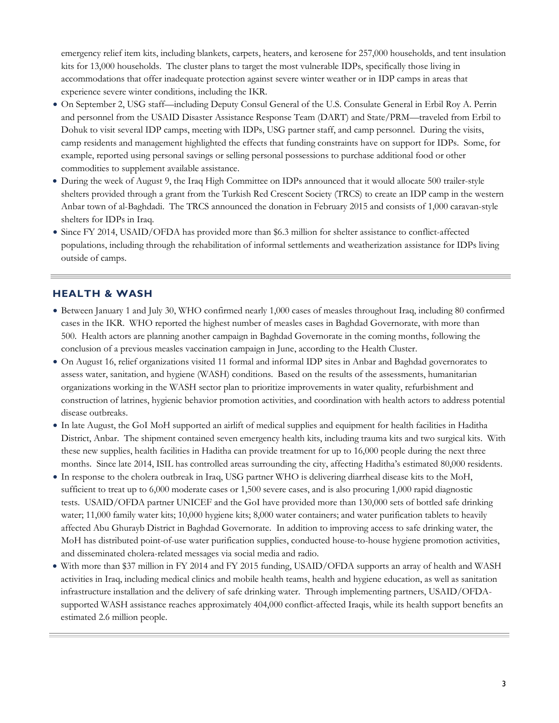emergency relief item kits, including blankets, carpets, heaters, and kerosene for 257,000 households, and tent insulation kits for 13,000 households. The cluster plans to target the most vulnerable IDPs, specifically those living in accommodations that offer inadequate protection against severe winter weather or in IDP camps in areas that experience severe winter conditions, including the IKR.

- On September 2, USG staff—including Deputy Consul General of the U.S. Consulate General in Erbil Roy A. Perrin and personnel from the USAID Disaster Assistance Response Team (DART) and State/PRM—traveled from Erbil to Dohuk to visit several IDP camps, meeting with IDPs, USG partner staff, and camp personnel. During the visits, camp residents and management highlighted the effects that funding constraints have on support for IDPs. Some, for example, reported using personal savings or selling personal possessions to purchase additional food or other commodities to supplement available assistance.
- During the week of August 9, the Iraq High Committee on IDPs announced that it would allocate 500 trailer-style shelters provided through a grant from the Turkish Red Crescent Society (TRCS) to create an IDP camp in the western Anbar town of al-Baghdadi. The TRCS announced the donation in February 2015 and consists of 1,000 caravan-style shelters for IDPs in Iraq.
- Since FY 2014, USAID/OFDA has provided more than \$6.3 million for shelter assistance to conflict-affected populations, including through the rehabilitation of informal settlements and weatherization assistance for IDPs living outside of camps.

## **HEALTH & WASH**

- Between January 1 and July 30, WHO confirmed nearly 1,000 cases of measles throughout Iraq, including 80 confirmed cases in the IKR. WHO reported the highest number of measles cases in Baghdad Governorate, with more than 500. Health actors are planning another campaign in Baghdad Governorate in the coming months, following the conclusion of a previous measles vaccination campaign in June, according to the Health Cluster.
- On August 16, relief organizations visited 11 formal and informal IDP sites in Anbar and Baghdad governorates to assess water, sanitation, and hygiene (WASH) conditions. Based on the results of the assessments, humanitarian organizations working in the WASH sector plan to prioritize improvements in water quality, refurbishment and construction of latrines, hygienic behavior promotion activities, and coordination with health actors to address potential disease outbreaks.
- In late August, the GoI MoH supported an airlift of medical supplies and equipment for health facilities in Haditha District, Anbar. The shipment contained seven emergency health kits, including trauma kits and two surgical kits. With these new supplies, health facilities in Haditha can provide treatment for up to 16,000 people during the next three months. Since late 2014, ISIL has controlled areas surrounding the city, affecting Haditha's estimated 80,000 residents.
- In response to the cholera outbreak in Iraq, USG partner WHO is delivering diarrheal disease kits to the MoH, sufficient to treat up to 6,000 moderate cases or 1,500 severe cases, and is also procuring 1,000 rapid diagnostic tests. USAID/OFDA partner UNICEF and the GoI have provided more than 130,000 sets of bottled safe drinking water; 11,000 family water kits; 10,000 hygiene kits; 8,000 water containers; and water purification tablets to heavily affected Abu Ghurayb District in Baghdad Governorate. In addition to improving access to safe drinking water, the MoH has distributed point-of-use water purification supplies, conducted house-to-house hygiene promotion activities, and disseminated cholera-related messages via social media and radio.
- With more than \$37 million in FY 2014 and FY 2015 funding, USAID/OFDA supports an array of health and WASH activities in Iraq, including medical clinics and mobile health teams, health and hygiene education, as well as sanitation infrastructure installation and the delivery of safe drinking water. Through implementing partners, USAID/OFDAsupported WASH assistance reaches approximately 404,000 conflict-affected Iraqis, while its health support benefits an estimated 2.6 million people.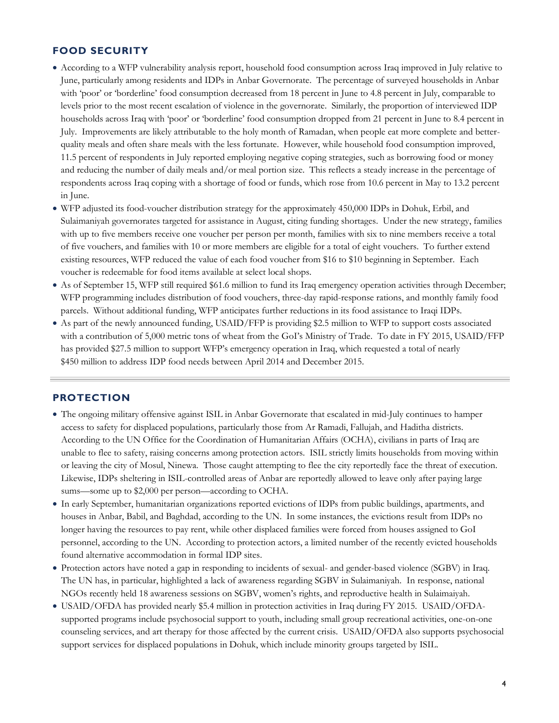## **FOOD SECURITY**

- According to a WFP vulnerability analysis report, household food consumption across Iraq improved in July relative to June, particularly among residents and IDPs in Anbar Governorate. The percentage of surveyed households in Anbar with 'poor' or 'borderline' food consumption decreased from 18 percent in June to 4.8 percent in July, comparable to levels prior to the most recent escalation of violence in the governorate. Similarly, the proportion of interviewed IDP households across Iraq with 'poor' or 'borderline' food consumption dropped from 21 percent in June to 8.4 percent in July. Improvements are likely attributable to the holy month of Ramadan, when people eat more complete and betterquality meals and often share meals with the less fortunate. However, while household food consumption improved, 11.5 percent of respondents in July reported employing negative coping strategies, such as borrowing food or money and reducing the number of daily meals and/or meal portion size. This reflects a steady increase in the percentage of respondents across Iraq coping with a shortage of food or funds, which rose from 10.6 percent in May to 13.2 percent in June.
- WFP adjusted its food-voucher distribution strategy for the approximately 450,000 IDPs in Dohuk, Erbil, and Sulaimaniyah governorates targeted for assistance in August, citing funding shortages. Under the new strategy, families with up to five members receive one voucher per person per month, families with six to nine members receive a total of five vouchers, and families with 10 or more members are eligible for a total of eight vouchers. To further extend existing resources, WFP reduced the value of each food voucher from \$16 to \$10 beginning in September. Each voucher is redeemable for food items available at select local shops.
- As of September 15, WFP still required \$61.6 million to fund its Iraq emergency operation activities through December; WFP programming includes distribution of food vouchers, three-day rapid-response rations, and monthly family food parcels. Without additional funding, WFP anticipates further reductions in its food assistance to Iraqi IDPs.
- As part of the newly announced funding, USAID/FFP is providing \$2.5 million to WFP to support costs associated with a contribution of 5,000 metric tons of wheat from the GoI's Ministry of Trade. To date in FY 2015, USAID/FFP has provided \$27.5 million to support WFP's emergency operation in Iraq, which requested a total of nearly \$450 million to address IDP food needs between April 2014 and December 2015.

#### **PROTECTION**

- The ongoing military offensive against ISIL in Anbar Governorate that escalated in mid-July continues to hamper access to safety for displaced populations, particularly those from Ar Ramadi, Fallujah, and Haditha districts. According to the UN Office for the Coordination of Humanitarian Affairs (OCHA), civilians in parts of Iraq are unable to flee to safety, raising concerns among protection actors. ISIL strictly limits households from moving within or leaving the city of Mosul, Ninewa. Those caught attempting to flee the city reportedly face the threat of execution. Likewise, IDPs sheltering in ISIL-controlled areas of Anbar are reportedly allowed to leave only after paying large sums—some up to \$2,000 per person—according to OCHA.
- In early September, humanitarian organizations reported evictions of IDPs from public buildings, apartments, and houses in Anbar, Babil, and Baghdad, according to the UN. In some instances, the evictions result from IDPs no longer having the resources to pay rent, while other displaced families were forced from houses assigned to GoI personnel, according to the UN. According to protection actors, a limited number of the recently evicted households found alternative accommodation in formal IDP sites.
- Protection actors have noted a gap in responding to incidents of sexual- and gender-based violence (SGBV) in Iraq. The UN has, in particular, highlighted a lack of awareness regarding SGBV in Sulaimaniyah. In response, national NGOs recently held 18 awareness sessions on SGBV, women's rights, and reproductive health in Sulaimaiyah.
- USAID/OFDA has provided nearly \$5.4 million in protection activities in Iraq during FY 2015. USAID/OFDAsupported programs include psychosocial support to youth, including small group recreational activities, one-on-one counseling services, and art therapy for those affected by the current crisis. USAID/OFDA also supports psychosocial support services for displaced populations in Dohuk, which include minority groups targeted by ISIL.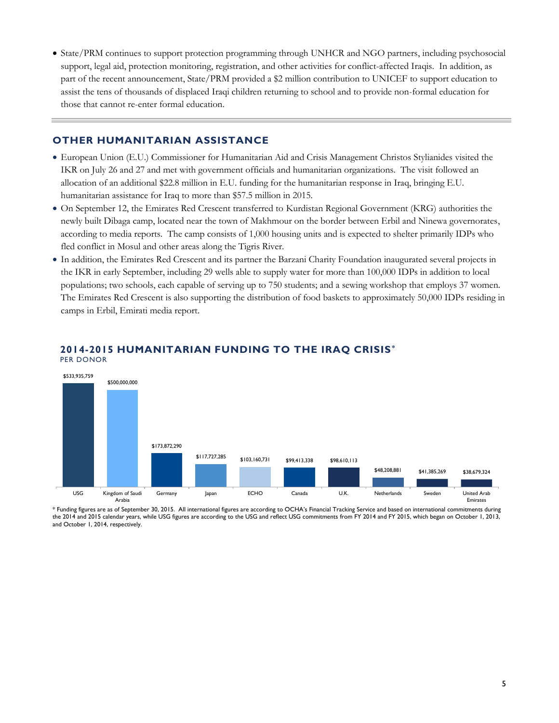State/PRM continues to support protection programming through UNHCR and NGO partners, including psychosocial support, legal aid, protection monitoring, registration, and other activities for conflict-affected Iraqis. In addition, as part of the recent announcement, State/PRM provided a \$2 million contribution to UNICEF to support education to assist the tens of thousands of displaced Iraqi children returning to school and to provide non-formal education for those that cannot re-enter formal education.

## **OTHER HUMANITARIAN ASSISTANCE**

- European Union (E.U.) Commissioner for Humanitarian Aid and Crisis Management Christos Stylianides visited the IKR on July 26 and 27 and met with government officials and humanitarian organizations. The visit followed an allocation of an additional \$22.8 million in E.U. funding for the humanitarian response in Iraq, bringing E.U. humanitarian assistance for Iraq to more than \$57.5 million in 2015.
- On September 12, the Emirates Red Crescent transferred to Kurdistan Regional Government (KRG) authorities the newly built Dibaga camp, located near the town of Makhmour on the border between Erbil and Ninewa governorates, according to media reports. The camp consists of 1,000 housing units and is expected to shelter primarily IDPs who fled conflict in Mosul and other areas along the Tigris River.
- In addition, the Emirates Red Crescent and its partner the Barzani Charity Foundation inaugurated several projects in the IKR in early September, including 29 wells able to supply water for more than 100,000 IDPs in addition to local populations; two schools, each capable of serving up to 750 students; and a sewing workshop that employs 37 women. The Emirates Red Crescent is also supporting the distribution of food baskets to approximately 50,000 IDPs residing in camps in Erbil, Emirati media report.



#### **2014-2015 HUMANITARIAN FUNDING TO THE IRAQ CRISIS\*** PER DONOR

\* Funding figures are as of September 30, 2015. All international figures are according to OCHA's Financial Tracking Service and based on international commitments during the 2014 and 2015 calendar years, while USG figures are according to the USG and reflect USG commitments from FY 2014 and FY 2015, which began on October 1, 2013, and October 1, 2014, respectively.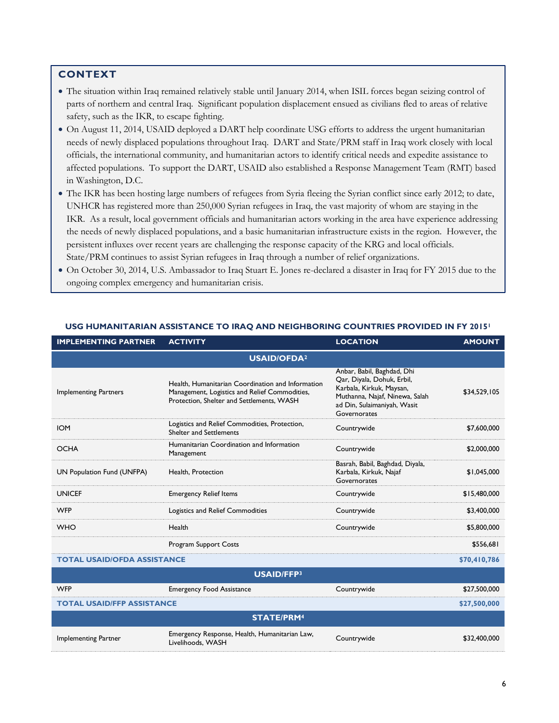## **CONTEXT**

- The situation within Iraq remained relatively stable until January 2014, when ISIL forces began seizing control of parts of northern and central Iraq. Significant population displacement ensued as civilians fled to areas of relative safety, such as the IKR, to escape fighting.
- On August 11, 2014, USAID deployed a DART help coordinate USG efforts to address the urgent humanitarian needs of newly displaced populations throughout Iraq. DART and State/PRM staff in Iraq work closely with local officials, the international community, and humanitarian actors to identify critical needs and expedite assistance to affected populations. To support the DART, USAID also established a Response Management Team (RMT) based in Washington, D.C.
- The IKR has been hosting large numbers of refugees from Syria fleeing the Syrian conflict since early 2012; to date, UNHCR has registered more than 250,000 Syrian refugees in Iraq, the vast majority of whom are staying in the IKR. As a result, local government officials and humanitarian actors working in the area have experience addressing the needs of newly displaced populations, and a basic humanitarian infrastructure exists in the region. However, the persistent influxes over recent years are challenging the response capacity of the KRG and local officials. State/PRM continues to assist Syrian refugees in Iraq through a number of relief organizations.
- On October 30, 2014, U.S. Ambassador to Iraq Stuart E. Jones re-declared a disaster in Iraq for FY 2015 due to the ongoing complex emergency and humanitarian crisis.

| <b>IMPLEMENTING PARTNER</b>        | <b>ACTIVITY</b>                                                                                                                                 | <b>LOCATION</b>                                                                                                                                                       | <b>AMOUNT</b> |  |
|------------------------------------|-------------------------------------------------------------------------------------------------------------------------------------------------|-----------------------------------------------------------------------------------------------------------------------------------------------------------------------|---------------|--|
| <b>USAID/OFDA2</b>                 |                                                                                                                                                 |                                                                                                                                                                       |               |  |
| <b>Implementing Partners</b>       | Health, Humanitarian Coordination and Information<br>Management, Logistics and Relief Commodities,<br>Protection, Shelter and Settlements, WASH | Anbar, Babil, Baghdad, Dhi<br>Qar, Diyala, Dohuk, Erbil,<br>Karbala, Kirkuk, Maysan,<br>Muthanna, Najaf, Ninewa, Salah<br>ad Din, Sulaimaniyah, Wasit<br>Governorates | \$34,529,105  |  |
| <b>IOM</b>                         | Logistics and Relief Commodities, Protection,<br><b>Shelter and Settlements</b>                                                                 | Countrywide                                                                                                                                                           | \$7,600,000   |  |
| <b>OCHA</b>                        | Humanitarian Coordination and Information<br>Management                                                                                         | Countrywide                                                                                                                                                           | \$2,000,000   |  |
| UN Population Fund (UNFPA)         | Health, Protection                                                                                                                              | Basrah, Babil, Baghdad, Diyala,<br>Karbala, Kirkuk, Najaf<br>Governorates                                                                                             | \$1,045,000   |  |
| <b>UNICEF</b>                      | <b>Emergency Relief Items</b>                                                                                                                   | Countrywide                                                                                                                                                           | \$15,480,000  |  |
| <b>WFP</b>                         | Logistics and Relief Commodities                                                                                                                | Countrywide                                                                                                                                                           | \$3,400,000   |  |
| <b>WHO</b>                         | Health                                                                                                                                          | Countrywide                                                                                                                                                           | \$5,800,000   |  |
|                                    | Program Support Costs                                                                                                                           |                                                                                                                                                                       | \$556,681     |  |
| <b>TOTAL USAID/OFDA ASSISTANCE</b> |                                                                                                                                                 | \$70,410,786                                                                                                                                                          |               |  |
| <b>USAID/FFP3</b>                  |                                                                                                                                                 |                                                                                                                                                                       |               |  |
| <b>WFP</b>                         | <b>Emergency Food Assistance</b>                                                                                                                | Countrywide                                                                                                                                                           | \$27,500,000  |  |
| <b>TOTAL USAID/FFP ASSISTANCE</b>  |                                                                                                                                                 |                                                                                                                                                                       | \$27,500,000  |  |
| <b>STATE/PRM4</b>                  |                                                                                                                                                 |                                                                                                                                                                       |               |  |
| <b>Implementing Partner</b>        | Emergency Response, Health, Humanitarian Law,<br>Livelihoods, WASH                                                                              | Countrywide                                                                                                                                                           | \$32,400,000  |  |

#### **USG HUMANITARIAN ASSISTANCE TO IRAQ AND NEIGHBORING COUNTRIES PROVIDED IN FY 2015<sup>1</sup>**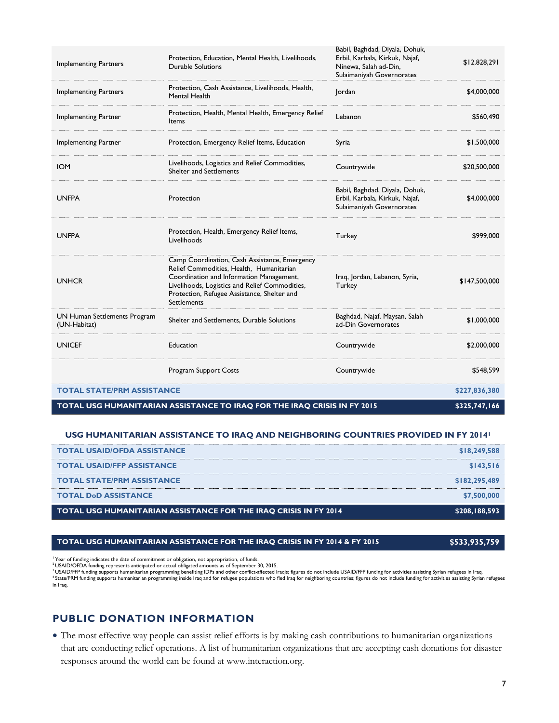| TOTAL USG HUMANITARIAN ASSISTANCE TO IRAQ FOR THE IRAQ CRISIS IN FY 2015<br>\$325,747,166 |                                                                                                                                                                                                                                                       |                                                                                                                        |               |  |
|-------------------------------------------------------------------------------------------|-------------------------------------------------------------------------------------------------------------------------------------------------------------------------------------------------------------------------------------------------------|------------------------------------------------------------------------------------------------------------------------|---------------|--|
| <b>TOTAL STATE/PRM ASSISTANCE</b>                                                         |                                                                                                                                                                                                                                                       | \$227,836,380                                                                                                          |               |  |
|                                                                                           | Program Support Costs                                                                                                                                                                                                                                 | Countrywide                                                                                                            | \$548,599     |  |
| <b>UNICEF</b>                                                                             | Education                                                                                                                                                                                                                                             | Countrywide                                                                                                            | \$2,000,000   |  |
| UN Human Settlements Program<br>(UN-Habitat)                                              | Shelter and Settlements, Durable Solutions                                                                                                                                                                                                            | Baghdad, Najaf, Maysan, Salah<br>ad-Din Governorates                                                                   | \$1,000,000   |  |
| <b>UNHCR</b>                                                                              | Camp Coordination, Cash Assistance, Emergency<br>Relief Commodities, Health, Humanitarian<br>Coordination and Information Management,<br>Livelihoods, Logistics and Relief Commodities,<br>Protection, Refugee Assistance, Shelter and<br>Settlements | Iraq, Jordan, Lebanon, Syria,<br>Turkey                                                                                | \$147,500,000 |  |
| <b>UNFPA</b>                                                                              | Protection, Health, Emergency Relief Items,<br>Livelihoods                                                                                                                                                                                            | Turkey                                                                                                                 | \$999,000     |  |
| <b>UNFPA</b>                                                                              | Protection                                                                                                                                                                                                                                            | Babil, Baghdad, Diyala, Dohuk,<br>Erbil, Karbala, Kirkuk, Najaf,<br>Sulaimaniyah Governorates                          | \$4,000,000   |  |
| <b>IOM</b>                                                                                | Livelihoods, Logistics and Relief Commodities,<br><b>Shelter and Settlements</b>                                                                                                                                                                      | Countrywide                                                                                                            | \$20,500,000  |  |
| Implementing Partner                                                                      | Protection, Emergency Relief Items, Education                                                                                                                                                                                                         | Syria                                                                                                                  | \$1,500,000   |  |
| Implementing Partner                                                                      | Protection, Health, Mental Health, Emergency Relief<br>Items                                                                                                                                                                                          | Lebanon                                                                                                                | \$560,490     |  |
| <b>Implementing Partners</b>                                                              | Protection, Cash Assistance, Livelihoods, Health,<br>Mental Health                                                                                                                                                                                    | Jordan                                                                                                                 | \$4,000,000   |  |
| <b>Implementing Partners</b>                                                              | Protection, Education, Mental Health, Livelihoods,<br><b>Durable Solutions</b>                                                                                                                                                                        | Babil, Baghdad, Diyala, Dohuk,<br>Erbil, Karbala, Kirkuk, Najaf,<br>Ninewa, Salah ad-Din,<br>Sulaimaniyah Governorates | \$12,828,291  |  |

#### **USG HUMANITARIAN ASSISTANCE TO IRAQ AND NEIGHBORING COUNTRIES PROVIDED IN FY 2014<sup>1</sup>**

| <b>TOTAL USAID/OFDA ASSISTANCE</b>                                      | \$18,249,588  |
|-------------------------------------------------------------------------|---------------|
| <b>TOTAL USAID/FFP ASSISTANCE</b>                                       | \$143,516     |
| <b>TOTAL STATE/PRM ASSISTANCE</b>                                       | \$182,295,489 |
| <b>TOTAL DoD ASSISTANCE</b>                                             | \$7,500,000   |
| <b>TOTAL USG HUMANITARIAN ASSISTANCE FOR THE IRAO CRISIS IN FY 2014</b> | \$208,188,593 |

#### **TOTAL USG HUMANITARIAN ASSISTANCE FOR THE IRAQ CRISIS IN FY 2014 & FY 2015 \$533,935,759**

<sup>1</sup> Year of funding indicates the date of commitment or obligation, not appropriation, of funds.

<sup>2</sup> USAID/OFDA funding represents anticipated or actual obligated amounts as of September 30, 2015.<br><sup>3</sup> USAID/FFP funding supports humanitarian programming benefiting iDP and other conflict-affected Iraqis; figures do not in Iraq.

## **PUBLIC DONATION INFORMATION**

 The most effective way people can assist relief efforts is by making cash contributions to humanitarian organizations that are conducting relief operations. A list of humanitarian organizations that are accepting cash donations for disaster responses around the world can be found at www.interaction.org.